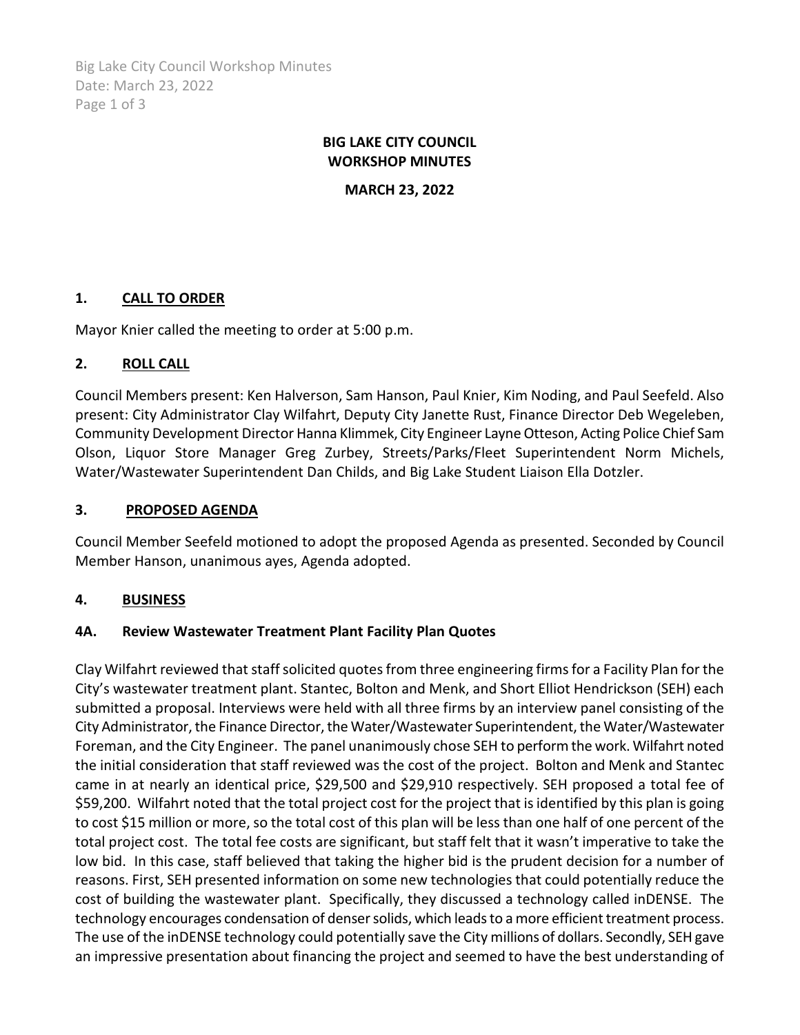Big Lake City Council Workshop Minutes Date: March 23, 2022 Page 1 of 3

# **BIG LAKE CITY COUNCIL WORKSHOP MINUTES**

**MARCH 23, 2022**

# **1. CALL TO ORDER**

Mayor Knier called the meeting to order at 5:00 p.m.

# **2. ROLL CALL**

Council Members present: Ken Halverson, Sam Hanson, Paul Knier, Kim Noding, and Paul Seefeld. Also present: City Administrator Clay Wilfahrt, Deputy City Janette Rust, Finance Director Deb Wegeleben, Community Development Director Hanna Klimmek, City Engineer Layne Otteson, Acting Police Chief Sam Olson, Liquor Store Manager Greg Zurbey, Streets/Parks/Fleet Superintendent Norm Michels, Water/Wastewater Superintendent Dan Childs, and Big Lake Student Liaison Ella Dotzler.

## **3. PROPOSED AGENDA**

Council Member Seefeld motioned to adopt the proposed Agenda as presented. Seconded by Council Member Hanson, unanimous ayes, Agenda adopted.

# **4. BUSINESS**

#### **4A. Review Wastewater Treatment Plant Facility Plan Quotes**

Clay Wilfahrt reviewed that staff solicited quotes from three engineering firms for a Facility Plan for the City's wastewater treatment plant. Stantec, Bolton and Menk, and Short Elliot Hendrickson (SEH) each submitted a proposal. Interviews were held with all three firms by an interview panel consisting of the City Administrator, the Finance Director, the Water/Wastewater Superintendent, the Water/Wastewater Foreman, and the City Engineer. The panel unanimously chose SEH to perform the work. Wilfahrt noted the initial consideration that staff reviewed was the cost of the project. Bolton and Menk and Stantec came in at nearly an identical price, \$29,500 and \$29,910 respectively. SEH proposed a total fee of \$59,200. Wilfahrt noted that the total project cost for the project that is identified by this plan is going to cost \$15 million or more, so the total cost of this plan will be less than one half of one percent of the total project cost. The total fee costs are significant, but staff felt that it wasn't imperative to take the low bid. In this case, staff believed that taking the higher bid is the prudent decision for a number of reasons. First, SEH presented information on some new technologies that could potentially reduce the cost of building the wastewater plant. Specifically, they discussed a technology called inDENSE. The technology encourages condensation of denser solids, which leads to a more efficient treatment process. The use of the inDENSE technology could potentially save the City millions of dollars. Secondly, SEH gave an impressive presentation about financing the project and seemed to have the best understanding of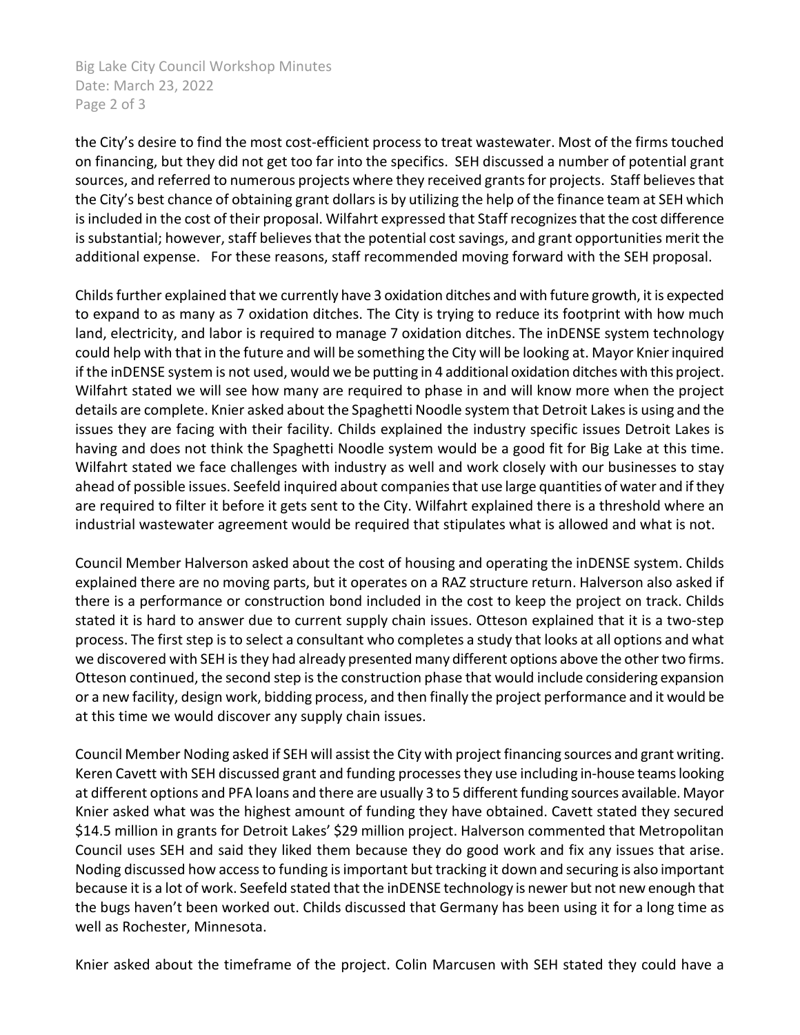Big Lake City Council Workshop Minutes Date: March 23, 2022 Page 2 of 3

the City's desire to find the most cost-efficient process to treat wastewater. Most of the firms touched on financing, but they did not get too far into the specifics. SEH discussed a number of potential grant sources, and referred to numerous projects where they received grants for projects. Staff believes that the City's best chance of obtaining grant dollars is by utilizing the help of the finance team at SEH which is included in the cost of their proposal. Wilfahrt expressed that Staff recognizes that the cost difference is substantial; however, staff believes that the potential cost savings, and grant opportunities merit the additional expense. For these reasons, staff recommended moving forward with the SEH proposal.

Childs further explained that we currently have 3 oxidation ditches and with future growth, it is expected to expand to as many as 7 oxidation ditches. The City is trying to reduce its footprint with how much land, electricity, and labor is required to manage 7 oxidation ditches. The inDENSE system technology could help with that in the future and will be something the City will be looking at. Mayor Knierinquired if the inDENSE system is not used, would we be putting in 4 additional oxidation ditches with this project. Wilfahrt stated we will see how many are required to phase in and will know more when the project details are complete. Knier asked about the Spaghetti Noodle system that Detroit Lakes is using and the issues they are facing with their facility. Childs explained the industry specific issues Detroit Lakes is having and does not think the Spaghetti Noodle system would be a good fit for Big Lake at this time. Wilfahrt stated we face challenges with industry as well and work closely with our businesses to stay ahead of possible issues. Seefeld inquired about companies that use large quantities of water and if they are required to filter it before it gets sent to the City. Wilfahrt explained there is a threshold where an industrial wastewater agreement would be required that stipulates what is allowed and what is not.

Council Member Halverson asked about the cost of housing and operating the inDENSE system. Childs explained there are no moving parts, but it operates on a RAZ structure return. Halverson also asked if there is a performance or construction bond included in the cost to keep the project on track. Childs stated it is hard to answer due to current supply chain issues. Otteson explained that it is a two-step process. The first step is to select a consultant who completes a study that looks at all options and what we discovered with SEH is they had already presented many different options above the other two firms. Otteson continued, the second step is the construction phase that would include considering expansion or a new facility, design work, bidding process, and then finally the project performance and it would be at this time we would discover any supply chain issues.

Council Member Noding asked if SEH will assist the City with project financing sources and grant writing. Keren Cavett with SEH discussed grant and funding processes they use including in-house teams looking at different options and PFA loans and there are usually 3 to 5 different funding sources available. Mayor Knier asked what was the highest amount of funding they have obtained. Cavett stated they secured \$14.5 million in grants for Detroit Lakes' \$29 million project. Halverson commented that Metropolitan Council uses SEH and said they liked them because they do good work and fix any issues that arise. Noding discussed how access to funding is important but tracking it down and securing is also important because it is a lot of work. Seefeld stated that the inDENSE technology is newer but not new enough that the bugs haven't been worked out. Childs discussed that Germany has been using it for a long time as well as Rochester, Minnesota.

Knier asked about the timeframe of the project. Colin Marcusen with SEH stated they could have a